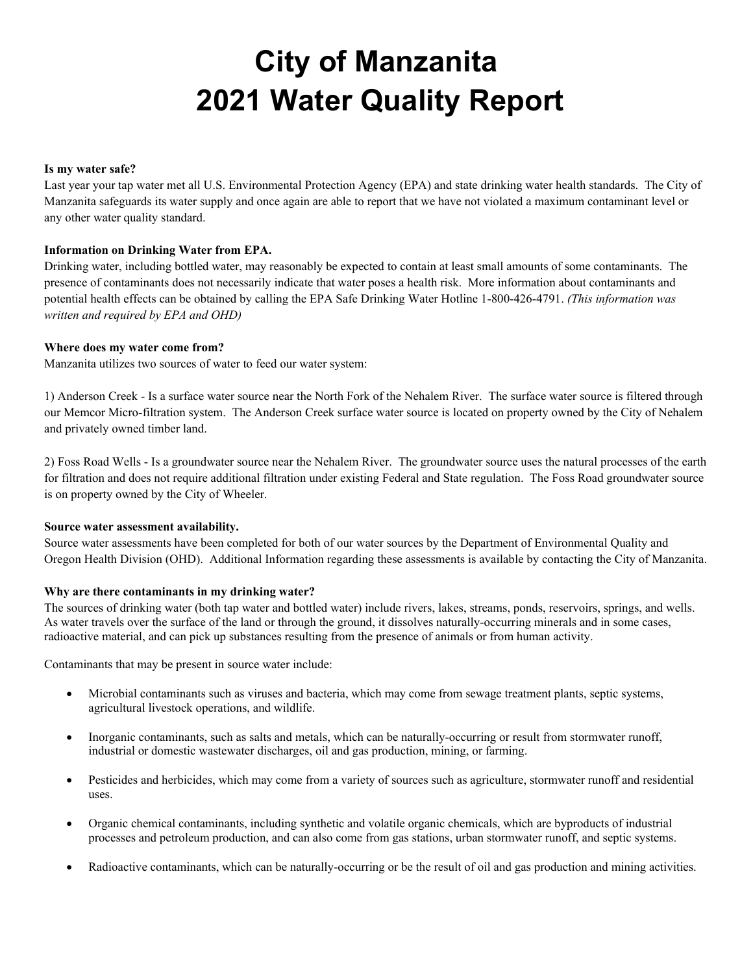# **City of Manzanita 2021 Water Quality Report**

#### **Is my water safe?**

Last year your tap water met all U.S. Environmental Protection Agency (EPA) and state drinking water health standards. The City of Manzanita safeguards its water supply and once again are able to report that we have not violated a maximum contaminant level or any other water quality standard.

#### **Information on Drinking Water from EPA.**

Drinking water, including bottled water, may reasonably be expected to contain at least small amounts of some contaminants. The presence of contaminants does not necessarily indicate that water poses a health risk. More information about contaminants and potential health effects can be obtained by calling the EPA Safe Drinking Water Hotline 1-800-426-4791. *(This information was written and required by EPA and OHD)*

#### **Where does my water come from?**

Manzanita utilizes two sources of water to feed our water system:

1) Anderson Creek - Is a surface water source near the North Fork of the Nehalem River. The surface water source is filtered through our Memcor Micro-filtration system. The Anderson Creek surface water source is located on property owned by the City of Nehalem and privately owned timber land.

2) Foss Road Wells - Is a groundwater source near the Nehalem River. The groundwater source uses the natural processes of the earth for filtration and does not require additional filtration under existing Federal and State regulation. The Foss Road groundwater source is on property owned by the City of Wheeler.

#### **Source water assessment availability.**

Source water assessments have been completed for both of our water sources by the Department of Environmental Quality and Oregon Health Division (OHD). Additional Information regarding these assessments is available by contacting the City of Manzanita.

#### **Why are there contaminants in my drinking water?**

The sources of drinking water (both tap water and bottled water) include rivers, lakes, streams, ponds, reservoirs, springs, and wells. As water travels over the surface of the land or through the ground, it dissolves naturally-occurring minerals and in some cases, radioactive material, and can pick up substances resulting from the presence of animals or from human activity.

Contaminants that may be present in source water include:

- Microbial contaminants such as viruses and bacteria, which may come from sewage treatment plants, septic systems, agricultural livestock operations, and wildlife.
- Inorganic contaminants, such as salts and metals, which can be naturally-occurring or result from stormwater runoff, industrial or domestic wastewater discharges, oil and gas production, mining, or farming.
- Pesticides and herbicides, which may come from a variety of sources such as agriculture, stormwater runoff and residential uses.
- Organic chemical contaminants, including synthetic and volatile organic chemicals, which are byproducts of industrial processes and petroleum production, and can also come from gas stations, urban stormwater runoff, and septic systems.
- Radioactive contaminants, which can be naturally-occurring or be the result of oil and gas production and mining activities.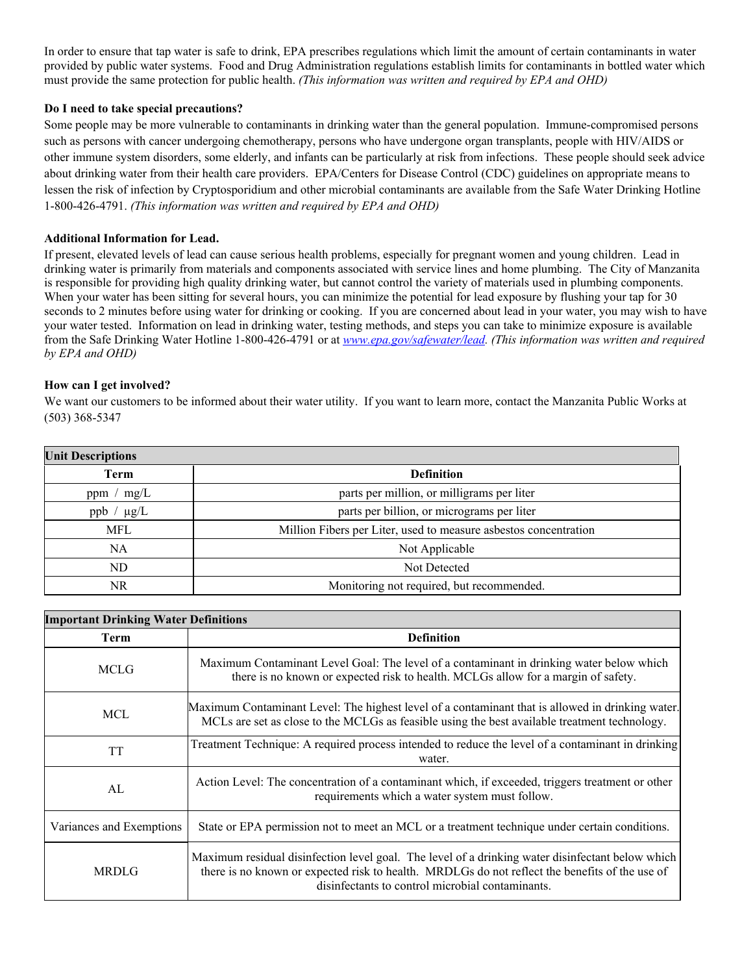In order to ensure that tap water is safe to drink, EPA prescribes regulations which limit the amount of certain contaminants in water provided by public water systems. Food and Drug Administration regulations establish limits for contaminants in bottled water which must provide the same protection for public health. *(This information was written and required by EPA and OHD)*

#### **Do I need to take special precautions?**

Some people may be more vulnerable to contaminants in drinking water than the general population. Immune-compromised persons such as persons with cancer undergoing chemotherapy, persons who have undergone organ transplants, people with HIV/AIDS or other immune system disorders, some elderly, and infants can be particularly at risk from infections. These people should seek advice about drinking water from their health care providers. EPA/Centers for Disease Control (CDC) guidelines on appropriate means to lessen the risk of infection by Cryptosporidium and other microbial contaminants are available from the Safe Water Drinking Hotline 1-800-426-4791. *(This information was written and required by EPA and OHD)* 

#### **Additional Information for Lead.**

If present, elevated levels of lead can cause serious health problems, especially for pregnant women and young children. Lead in drinking water is primarily from materials and components associated with service lines and home plumbing. The City of Manzanita is responsible for providing high quality drinking water, but cannot control the variety of materials used in plumbing components. When your water has been sitting for several hours, you can minimize the potential for lead exposure by flushing your tap for 30 seconds to 2 minutes before using water for drinking or cooking. If you are concerned about lead in your water, you may wish to have your water tested. Information on lead in drinking water, testing methods, and steps you can take to minimize exposure is available from the Safe Drinking Water Hotline 1-800-426-4791 or at *www.epa.gov/safewater/lead. (This information was written and required by EPA and OHD)*

### **How can I get involved?**

We want our customers to be informed about their water utility. If you want to learn more, contact the Manzanita Public Works at (503) 368-5347

| <b>Unit Descriptions</b> |                                                                  |  |  |  |  |  |  |  |
|--------------------------|------------------------------------------------------------------|--|--|--|--|--|--|--|
| Term                     | <b>Definition</b>                                                |  |  |  |  |  |  |  |
| mg/L<br>ppm /            | parts per million, or milligrams per liter                       |  |  |  |  |  |  |  |
| $\mu$ g/L<br>ppb         | parts per billion, or micrograms per liter                       |  |  |  |  |  |  |  |
| MFL                      | Million Fibers per Liter, used to measure asbestos concentration |  |  |  |  |  |  |  |
| <b>NA</b>                | Not Applicable                                                   |  |  |  |  |  |  |  |
| ND                       | Not Detected                                                     |  |  |  |  |  |  |  |
| NR                       | Monitoring not required, but recommended.                        |  |  |  |  |  |  |  |
|                          |                                                                  |  |  |  |  |  |  |  |

| <b>Important Drinking Water Definitions</b> |                                                                                                                                                                                                                                                        |  |  |  |  |  |  |
|---------------------------------------------|--------------------------------------------------------------------------------------------------------------------------------------------------------------------------------------------------------------------------------------------------------|--|--|--|--|--|--|
| Term                                        | <b>Definition</b>                                                                                                                                                                                                                                      |  |  |  |  |  |  |
| <b>MCLG</b>                                 | Maximum Contaminant Level Goal: The level of a contaminant in drinking water below which<br>there is no known or expected risk to health. MCLGs allow for a margin of safety.                                                                          |  |  |  |  |  |  |
| <b>MCL</b>                                  | Maximum Contaminant Level: The highest level of a contaminant that is allowed in drinking water.<br>MCLs are set as close to the MCLGs as feasible using the best available treatment technology.                                                      |  |  |  |  |  |  |
| <b>TT</b>                                   | Treatment Technique: A required process intended to reduce the level of a contaminant in drinking<br>water.                                                                                                                                            |  |  |  |  |  |  |
| AL                                          | Action Level: The concentration of a contaminant which, if exceeded, triggers treatment or other<br>requirements which a water system must follow.                                                                                                     |  |  |  |  |  |  |
| Variances and Exemptions                    | State or EPA permission not to meet an MCL or a treatment technique under certain conditions.                                                                                                                                                          |  |  |  |  |  |  |
| <b>MRDLG</b>                                | Maximum residual disinfection level goal. The level of a drinking water disinfectant below which<br>there is no known or expected risk to health. MRDLGs do not reflect the benefits of the use of<br>disinfectants to control microbial contaminants. |  |  |  |  |  |  |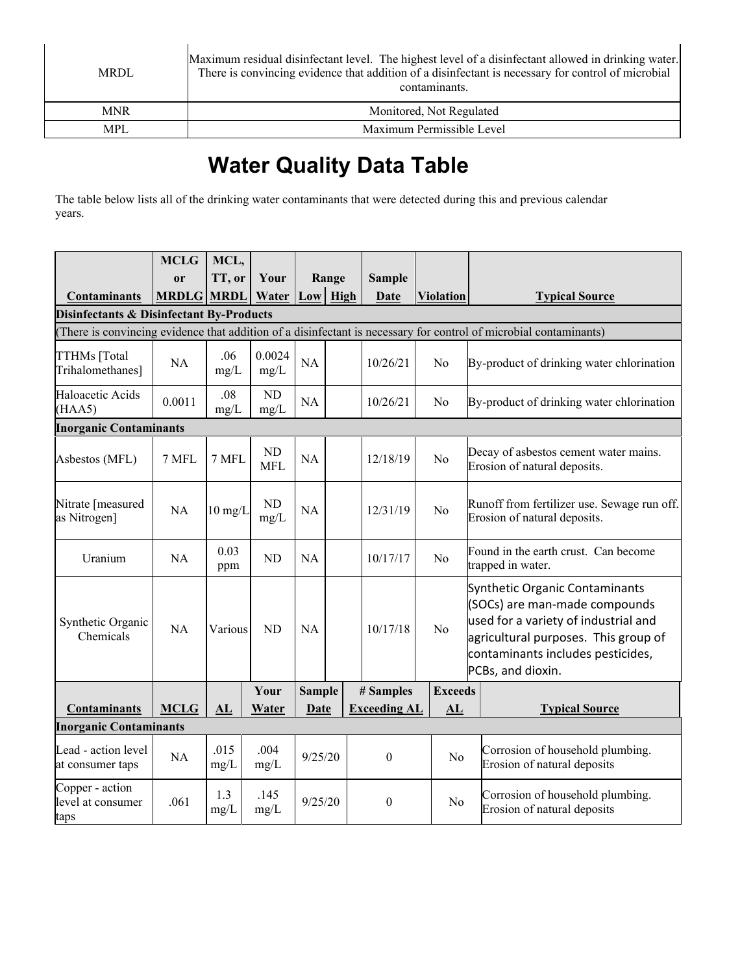| <b>MRDL</b> | Maximum residual disinfectant level. The highest level of a disinfectant allowed in drinking water.<br>There is convincing evidence that addition of a disinfectant is necessary for control of microbial<br>contaminants. |
|-------------|----------------------------------------------------------------------------------------------------------------------------------------------------------------------------------------------------------------------------|
| <b>MNR</b>  | Monitored, Not Regulated                                                                                                                                                                                                   |
| <b>MPL</b>  | Maximum Permissible Level                                                                                                                                                                                                  |

# **Water Quality Data Table**

The table below lists all of the drinking water contaminants that were detected during this and previous calendar years.

|                                                                                                                   | <b>MCLG</b>   | MCL,              |                         |               |      |                     |                |                  |                                                                                                                                                                                                           |  |  |  |  |
|-------------------------------------------------------------------------------------------------------------------|---------------|-------------------|-------------------------|---------------|------|---------------------|----------------|------------------|-----------------------------------------------------------------------------------------------------------------------------------------------------------------------------------------------------------|--|--|--|--|
|                                                                                                                   | <sub>or</sub> | TT, or            | Your                    | Range         |      | <b>Sample</b>       |                |                  |                                                                                                                                                                                                           |  |  |  |  |
| <b>Contaminants</b>                                                                                               | <b>MRDLG</b>  | <b>MRDL</b>       | Water                   | Low           | High | Date                |                | <b>Violation</b> | <b>Typical Source</b>                                                                                                                                                                                     |  |  |  |  |
| <b>Disinfectants &amp; Disinfectant By-Products</b>                                                               |               |                   |                         |               |      |                     |                |                  |                                                                                                                                                                                                           |  |  |  |  |
| (There is convincing evidence that addition of a disinfectant is necessary for control of microbial contaminants) |               |                   |                         |               |      |                     |                |                  |                                                                                                                                                                                                           |  |  |  |  |
| TTHMs [Total<br>Trihalomethanes]                                                                                  | NA            | .06<br>mg/L       | 0.0024<br>mg/L          | NA            |      | 10/26/21            | No             |                  | By-product of drinking water chlorination                                                                                                                                                                 |  |  |  |  |
| Haloacetic Acids<br>(HAA5)                                                                                        | 0.0011        | .08<br>mg/L       | ND<br>mg/L              | NA            |      | 10/26/21            | No             |                  | By-product of drinking water chlorination                                                                                                                                                                 |  |  |  |  |
| <b>Inorganic Contaminants</b>                                                                                     |               |                   |                         |               |      |                     |                |                  |                                                                                                                                                                                                           |  |  |  |  |
| Asbestos (MFL)                                                                                                    | 7 MFL         | 7 MFL             | <b>ND</b><br><b>MFL</b> | NA            |      | 12/18/19            | N <sub>o</sub> |                  | Decay of asbestos cement water mains.<br>Erosion of natural deposits.                                                                                                                                     |  |  |  |  |
| Nitrate [measured<br>as Nitrogen]                                                                                 | <b>NA</b>     | $10 \text{ mg/L}$ | ND<br>$mg/L$            | NA            |      | 12/31/19            | N <sub>o</sub> |                  | Runoff from fertilizer use. Sewage run off.<br>Erosion of natural deposits.                                                                                                                               |  |  |  |  |
| Uranium                                                                                                           | NA            | 0.03<br>ppm       | ND                      | NA            |      | 10/17/17            | No             |                  | Found in the earth crust. Can become<br>trapped in water.                                                                                                                                                 |  |  |  |  |
| Synthetic Organic<br>Chemicals                                                                                    | NA            | Various           | <b>ND</b>               | <b>NA</b>     |      | 10/17/18            | No             |                  | Synthetic Organic Contaminants<br>(SOCs) are man-made compounds<br>used for a variety of industrial and<br>agricultural purposes. This group of<br>contaminants includes pesticides,<br>PCBs, and dioxin. |  |  |  |  |
|                                                                                                                   |               |                   | Your                    | <b>Sample</b> |      | # Samples           | <b>Exceeds</b> |                  |                                                                                                                                                                                                           |  |  |  |  |
| <b>Contaminants</b>                                                                                               | <b>MCLG</b>   | AL                | Water                   | Date          |      | <b>Exceeding AL</b> |                | AL               | <b>Typical Source</b>                                                                                                                                                                                     |  |  |  |  |
| <b>Inorganic Contaminants</b>                                                                                     |               |                   |                         |               |      |                     |                |                  |                                                                                                                                                                                                           |  |  |  |  |
| Lead - action level<br>at consumer taps                                                                           | NA            | .015<br>mg/L      | .004<br>mg/L            | 9/25/20       |      | $\theta$            |                | No               | Corrosion of household plumbing.<br>Erosion of natural deposits                                                                                                                                           |  |  |  |  |
| Copper - action<br>level at consumer<br>taps                                                                      | .061          | 1.3<br>$mg/L$     | .145<br>mg/L            | 9/25/20       |      | $\boldsymbol{0}$    |                | N <sub>o</sub>   | Corrosion of household plumbing.<br>Erosion of natural deposits                                                                                                                                           |  |  |  |  |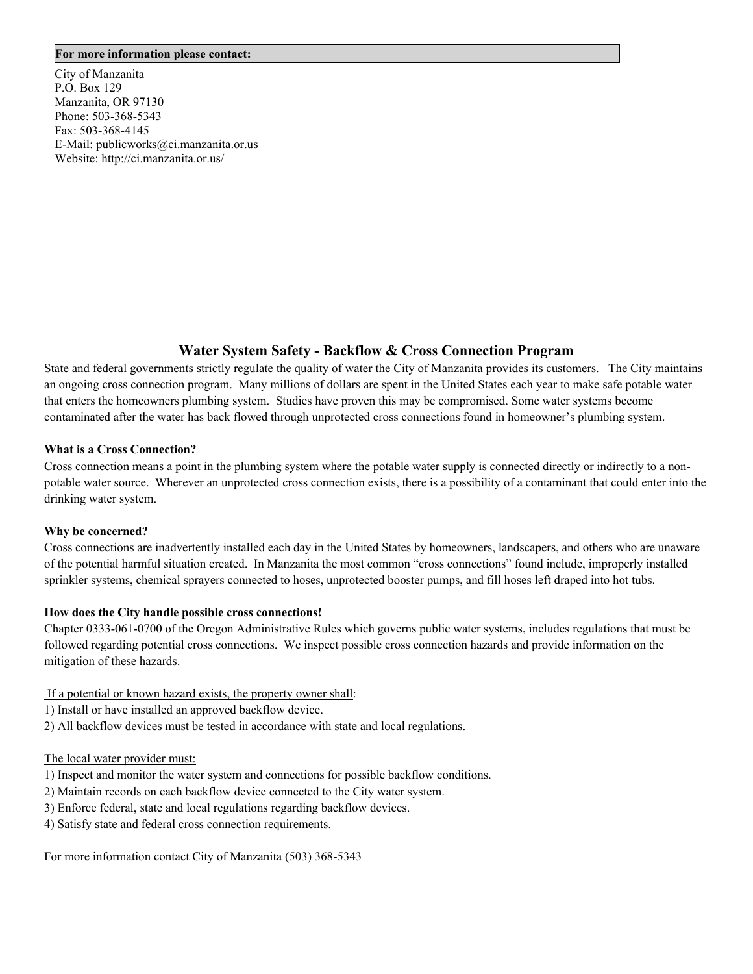#### **For more information please contact:**

City of Manzanita P.O. Box 129 Manzanita, OR 97130 Phone: 503-368-5343 Fax: 503-368-4145 E-Mail: publicworks@ci.manzanita.or.us Website: http://ci.manzanita.or.us/

## **Water System Safety - Backflow & Cross Connection Program**

State and federal governments strictly regulate the quality of water the City of Manzanita provides its customers. The City maintains an ongoing cross connection program. Many millions of dollars are spent in the United States each year to make safe potable water that enters the homeowners plumbing system. Studies have proven this may be compromised. Some water systems become contaminated after the water has back flowed through unprotected cross connections found in homeowner's plumbing system.

#### **What is a Cross Connection?**

Cross connection means a point in the plumbing system where the potable water supply is connected directly or indirectly to a nonpotable water source. Wherever an unprotected cross connection exists, there is a possibility of a contaminant that could enter into the drinking water system.

#### **Why be concerned?**

Cross connections are inadvertently installed each day in the United States by homeowners, landscapers, and others who are unaware of the potential harmful situation created. In Manzanita the most common "cross connections" found include, improperly installed sprinkler systems, chemical sprayers connected to hoses, unprotected booster pumps, and fill hoses left draped into hot tubs.

#### **How does the City handle possible cross connections!**

Chapter 0333-061-0700 of the Oregon Administrative Rules which governs public water systems, includes regulations that must be followed regarding potential cross connections. We inspect possible cross connection hazards and provide information on the mitigation of these hazards.

#### If a potential or known hazard exists, the property owner shall:

- 1) Install or have installed an approved backflow device.
- 2) All backflow devices must be tested in accordance with state and local regulations.

#### The local water provider must:

- 1) Inspect and monitor the water system and connections for possible backflow conditions.
- 2) Maintain records on each backflow device connected to the City water system.
- 3) Enforce federal, state and local regulations regarding backflow devices.
- 4) Satisfy state and federal cross connection requirements.

For more information contact City of Manzanita (503) 368-5343